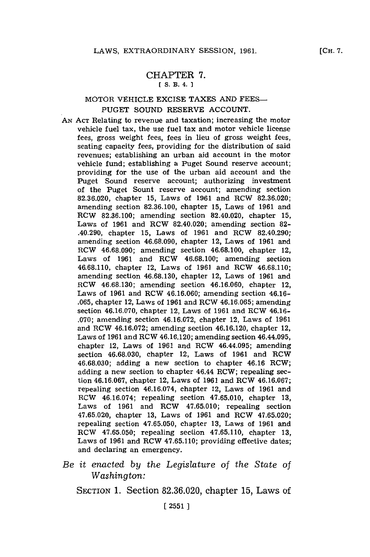#### CHAPTER **7. [ S. B. 4. 1**

## MOTOR **VEHICLE** EXCISE **TAXES AND FEES-PUGET SOUND** RESERVE **ACCOUNT.**

- **AN ACT** Relating to revenue and taxation; increasing the motor vehicle fuel tax, the use fuel tax and motor vehicle license fees, gross weight fees, fees in lieu of gross weight fees, seating capacity fees, providing for the distribution of said revenues; establishing an urban aid account in the motor vehicle fund; establishing a Puget Sound reserve account; providing for the use of the urban aid account and the Puget Sound reserve account; authorizing investment of the Puget Sount reserve account; amending section **82.36.020,** chapter **15,** Laws of **1961** and RCW **82.36.020;** amending section **82.36.100,** chapter **15,** Laws of **1961** and RCW **82.36.100;** amending section 82.40.020, chapter **15,** Laws of **1961** and RCW 82.40.020; amending section **82-** .40.290, chapter **15,** Laws of **1961** and RCW 82.40.290; amending section **46.68.090,** chapter 12, Laws of **1961** and RCW **46.68.090;** amending section **46.68.100,** chapter 12, Laws of **1961** and RCW **46.68.100;** amending section **46.68.110,** chapter 12, Laws of **1961** and RCW **46.68.110;** amending section **46.68.130,** chapter 12, Laws of **1961** and RCW **46.68.130;** amending section **46.16.060,** chapter 12, Laws of **1961** and RCW **46.16.060;** amending section 46.16- **.065,** chapter 12, Laws of **1961** and RCW **46.16.065;** amending section **46.16.070,** chapter 12, Laws of **1961** and RCW 46.16- **.070;** amending section **46.16.072,** chapter 12, Laws of **1961** and RCW **46.16.072;** amending section 46.16.120, chapter 12, Laws of **1961** and RCW 46.16.120; amending section 46.44.095, chapter 12, Laws of **1961** and RCW 46.44.095; amending section **46.68.030,** chapter 12, Laws of **1961** and RCW **46.68.030;** adding a new section to chapter 46.16 RCW; adding a new section to chapter 46.44 RCW; repealing section **46.16.067,** chapter 12, Laws of **1961** and RCW **46.16.067;** repealing section 46.16.074, chapter 12, Laws of **1961** and RCW 46.16.074; repealing section **47.65.010,** chapter **13,** Laws of **1961** and RCW **47.65.010;** repealing section **47.65.020,** chapter **13,** Laws of **1961** and RCW **47.65.020;** repealing section **47.65.050,** chapter **13,** Laws of **1961** and RCW **47.65.050;** repealing section **47.65.110,** chapter **13,** Laws of **1961** and RCW **47.65.110;** providing effective dates; and declaring an emergency.
- *Be it enacted by the Legislature* of *the State of Washington:*

**SECTION 1.** Section **82.36.020,** chapter **15,** Laws of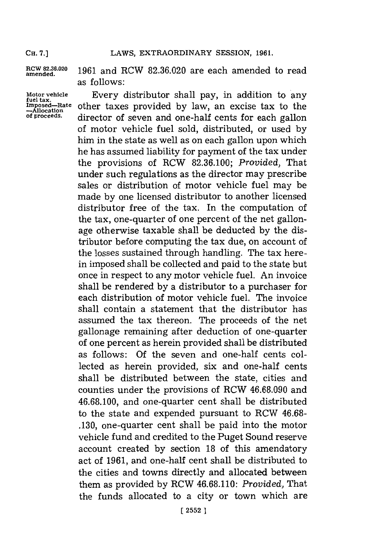**CH. 7.]**

RCW 82.36.020 1961 and RCW 82.36.020 are each amended to read as follows:

Motor vehicle **Every distributor shall pay, in addition to any** *Innosed*—Rate other taxes provided by law, an excise tax to the  $\frac{1}{2}$ Imposed—Rate other taxes provided by law, an excise tax to the  $-$ Allocation<br>of proceeds. dimentary of cover and one half canta for each gallan **of proceeds,** director of seven and one-half cents for each gallon of motor vehicle fuel sold, distributed, or used **by** him in the state as well as on each gallon upon which he has assumed liability for payment of the tax under the provisions of RCW **82.36.100;** *Provided,* That under such regulations as the director may prescribe sales or distribution of motor vehicle fuel may be made **by** one licensed distributor to another licensed distributor free of the tax. In the computation of the tax, one-quarter of one percent of the net gallonage otherwise taxable shall be deducted **by** the distributor before computing the tax due, on account of the losses sustained through handling. The tax herein imposed shall be collected and paid to the state but once in respect to any motor vehicle fuel. An invoice shall be rendered **by** a distributor to a purchaser for each distribution of motor vehicle fuel. The invoice shall contain a statement that the distributor has assumed the tax thereon. The proceeds of the net gallonage remaining after deduction of one-quarter of one percent as herein provided shall be distributed as follows: **Of** the seven and one-half cents collected as herein provided, six and one-half cents shall be distributed between the state, cities and counties under the provisions of RCW **46.68.090** and **46.68.100,** and one-quarter cent shall be distributed to the state and expended pursuant to RCW **46.68- .130,** one-quarter cent shall be paid into the motor vehicle fund and credited to the Puget Sound reserve account created **by** section **18** of this amendatory act of **1961,** and one-half cent shall be distributed to the cities and towns directly and allocated between them as provided **by** RCW **46.68.110:** *Provided,* That the funds allocated to a city or town which are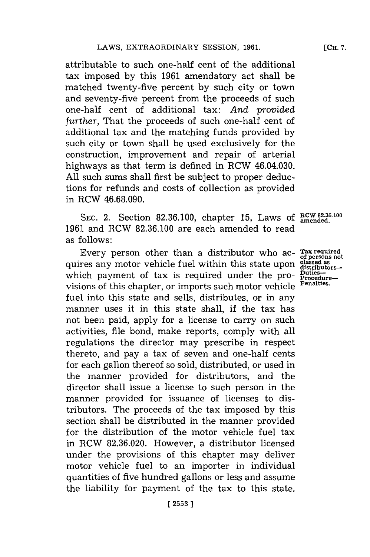attributable to such one-half cent of the additional tax imposed **by** this **1961** amendatory act shall be matched twenty-five percent **by** such city or town and seventy-five percent from the proceeds of such one-half cent of additional tax: *And provided further,* That the proceeds of such one-half cent of additional tax and the matching funds provided **by** such city or town shall be used exclusively for the construction, improvement and repair of arterial highways as that term is defined in RCW 46.04.030. **All** such sums shall first be subject to proper deductions for refunds and costs of collection as provided in RCW **46.68.090.**

SEC. 2. Section 82.36.100, chapter 15, Laws of **RCW 82.36.100 SEC.** 2. **1961** and RCW **82.36.100** are each amended to read as follows:

Every person other than a distributor who ac- Tax required res any motor vehicle fuel within this state upon diased as<br>res any motor vehicle fuel within this state upon diased as quires any motor vehicle fuel within this state upon **classed as distributors**which payment of tax is required under the pro- $\frac{\text{putes}}{\text{procedure}-}$ visions of this chapter, or imports such motor vehicle **Penalties.** fuel into this state and sells, distributes, or in any manner uses it in this state shall, if the tax has not been paid, apply for a license to carry on such activities, file bond, make reports, comply with all regulations the director may prescribe in respect thereto, and pay a tax of seven and one-half cents for each gallon thereof so sold, distributed, or used in the manner provided for distributors, and the director shall issue a license to such person in the manner provided for issuance of licenses to distributors. The proceeds of the tax imposed **by** this section shall be distributed in the manner provided for the distribution of the motor vehicle fuel tax in RCW **82.36.020.** However, a distributor licensed under the provisions of this chapter may deliver motor vehicle fuel to an importer in individual quantities of five hundred gallons or less and assume the liability for payment of the tax to this state.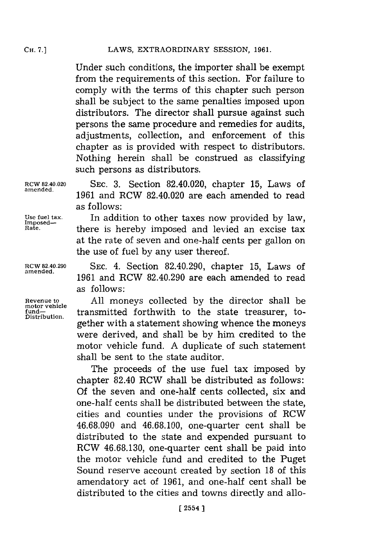## LAWS, EXTRAORDINARY SESSION, 1961.

Under such conditions, the importer shall be exempt from the requirements of this section. For failure to comply with the terms of this chapter such person shall be subject to the same penalties imposed upon distributors. The director shall pursue against such persons the same procedure and remedies for audits, adjustments, collection, and enforcement of this chapter as is provided with respect to distributors. Nothing herein shall be construed as classifying such persons as distributors.

**motor vehicle**

**RCW 82.40.020 SEC. 3.** Section 82.40.020, chapter **15,** Laws of 1961 and RCW 82.40.020 are each amended to read as follows:

Use fuel tax. **In addition to other taxes now provided by law,**<br> **In addition to other taxes now provided by law,**<br> **Rate. In there** is bereby imposed and lavied an excise tax. there is hereby imposed and levied an excise tax at the rate of seven and one-half cents per gallon on the use of fuel **by** any user thereof.

**RCW 82.40.290 SEC.** 4. Section 82.40.290, chapter **15,** Laws of **amended. <sup>1961</sup>**and RCW 82.40.290 are each amended to read as follows:

**Revenue to All** moneys collected **by** the director shall be fund-<br>Distribution. transmitted forthwith to the state treasurer, together with a statement showing whence the moneys were derived, and shall be **by** him credited to the motor vehicle fund. **A** duplicate of such statement shall be sent to the state auditor.

> The proceeds of the use fuel tax imposed **by** chapter 82.40 RCW shall be distributed as follows: **Of** the seven and one-half cents collected, six and one-half cents shall be distributed between the state, cities and counties under the provisions of RCW **46.68.090** and **46.68.100,** one-quarter cent shall be distributed to the state and expended pursuant to RCW **46.68.130,** one-quarter cent shall be paid into the motor vehicle fund and credited to the Puget Sound reserve account created **by** section **18** of this amendatory act of **1961,** and one-half cent shall be distributed to the cities and towns directly and allo-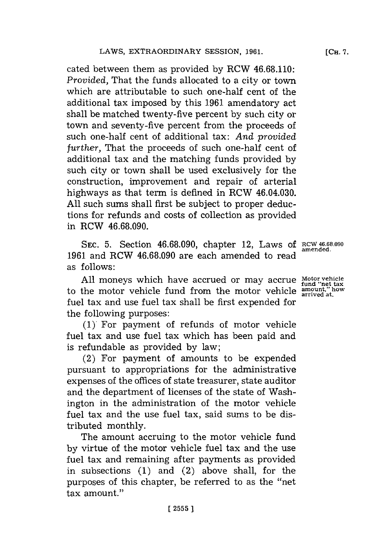cated between them as provided **by** RCW **46.68.110:** *Provided,* That the funds allocated to a city or town which are attributable to such one-half cent of the additional tax imposed **by** this **1961** amendatory act shall be matched twenty-five percent **by** such city or town and seventy-five percent from the proceeds of such one-half cent of additional tax: *And provided further,* That the proceeds of such one-half cent of additional tax and the matching funds provided **by** such city or town shall be used exclusively for the construction, improvement and repair of arterial highways as that term is defined in RCW 46.04.030. **All** such sums shall first be subject to proper deductions for refunds and costs of collection as provided in RCW **46.68.090.**

**SEC. 5.** Section **46.68.090,** chapter 12, Laws **of RCW <sup>4</sup> <sup>6</sup> 8.0<sup>9</sup> <sup>0</sup> 1961** and RCW **46.68.090** are each amended to read as **follows**:

All moneys which have accrued or may accrue Motor vehicle<br>to the motor vehicle fund from the motor vehicle amount," how fuel tax and use fuel tax shall be first expended for the following purposes:

**(1)** For payment of refunds of motor vehicle fuel tax and use fuel tax which has been paid and is refundable as provided **by** law;

(2) For payment of amounts to be expended pursuant to appropriations for the administrative expenses of the offices of state treasurer, state auditor and the department of licenses of the state of Washington in the administration of the motor vehicle fuel tax and the use fuel tax, said sums to be distributed monthly.

The amount accruing to the motor vehicle fund **by** virtue of the motor vehicle fuel tax and the use fuel tax and remaining after payments as provided in subsections **(1)** and (2) above shall, for the purposes of this chapter, be referred to as the "net tax amount."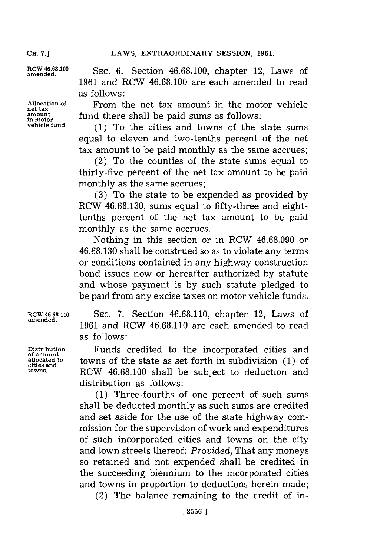**net tax**

RCW 46.68.100 SEC. 6. Section 46.68.100, chapter 12, Laws of **1961** and RCW **46.68.100** are each amended to read as follows:

**Allocation of** From the net tax amount in the motor vehicle **amount** fund there shall be paid sums as follows:<br> *in motor*<br> *vehicle fund.* (1) To the gitier and towns of the

**vehicle fund. (1)** To the cities and towns of the state sums equal to eleven and two-tenths percent of the net tax amount to be paid monthly as the same accrues;

 $(2)$  To the counties of the state sums equal to thirty-five percent of the net tax amount to be paid monthly as the same accrues;

**(3)** To the state to be expended as provided **by** ROW **46.68.130,** sums equal to fifty-three and eighttenths percent of the net tax amount to be paid monthly as the same accrues.

Nothing in this section or in RCW **46.68.090** or **46.68.130** shall be construed so as to violate any terms or conditions contained in any highway construction bond issues now or hereafter authorized **by** statute and whose payment is **by** such statute pledged to be paid from any excise taxes on motor vehicle funds.

**RCW 46.68.110 SEC. 7.** Section **46.68.110,** chapter 12, Laws of 1961 and RCW 46.68.110 are each amended to read as follows:

**Distribution** Funds credited to the incorporated cities and towns of the state as set forth in subdivision **(1)** of RCW 46.68.100 shall be subject to deduction and distribution as follows:

> **(1)** Three-fourths of one percent of such sums shall be deducted monthly as such sums are credited and set aside for the use of the state highway commission for the supervision of work and expenditures of such incorporated cities and towns on the city and town streets thereof: *Provided,* That any moneys so retained and not expended shall be credited in the succeeding biennium to the incorporated cities and towns in proportion to deductions herein made;

(2) The balance remaining to the credit of in-

**of amount cities and**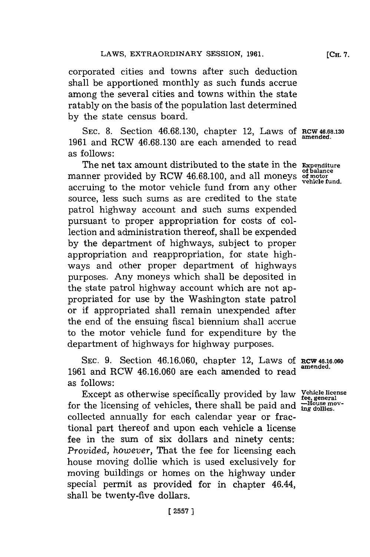corporated cities and towns after such deduction shall be apportioned monthly as such funds accrue among the several cities and towns within the state ratably on the basis of the population last determined **by** the state census board.

**SEC. 8.** Section **46.68.130,** chapter 12, Laws **Of** RCW **46.68.130 <sup>1961</sup>**and RCW **46.68.130** are each amended to read **amended.** as follows:

The net tax amount distributed to the state in the **Expenditure of balance** manner provided by RCW 46.68.100, and all moneys **of motor**<br>vehicle fund. accruing to the motor vehicle fund from any other source, less such sums as are credited to the state patrol highway account and such sums expended pursuant to proper appropriation for costs of collection and administration thereof, shall be expended **by** the department of highways, subject to proper appropriation and reappropriation, for state highways and other proper department of highways purposes. Any moneys which shall be deposited in the state patrol highway account which are not appropriated for use **by** the Washington state patrol or if appropriated shall remain unexpended after the end of the ensuing fiscal biennium shall accrue to the motor vehicle fund for expenditure **by** the department of highways for highway purposes.

**SEC. 9.** Section **46.16.060,** chapter 12, Laws **Of RCW 46.16.060** 1961 and RCW 46.16.060 are each amended to read as follows:

Except as otherwise specifically provided by law **Venicle license** for the licensing of vehicles, there shall be paid and  $\frac{25}{100}$ collected annually for each calendar year or fractional part thereof and upon each vehicle a license fee in the sum of six dollars and ninety cents: *Provided, however,* That the fee for licensing each house moving dollie which is used exclusively for moving buildings or homes on the highway under special permit as provided for in chapter 46.44, shall be twenty-five dollars.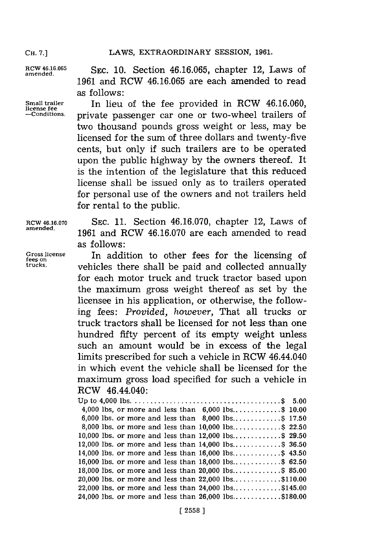**CH. 7.]**

RCW 46.16.065 **SEC. 10. Section 46.16.065, chapter 12, Laws of 1961** and RCW **46.16.065** are each amended to read as follows:

Small trailer **In lieu of the fee provided in RCW 46.16.060,** license fee **is a linear in the linear conditions**. The conditions private passenger car one or two-wheel trailers of two thousand pounds gross weight or less, may be licensed for the sum of three dollars and twenty-five cents, but only if such trailers are to be operated upon the public highway **by** the owners thereof. It is the intention of the legislature that this reduced license shall be issued only as to trailers operated for personal use of the owners and not trailers held for rental to the public.

**RCW 46,16.070 SEC. 11.** Section **46.16.070,** chapter 12, Laws of **amended. 1961** and RCW **46.16.070** are each amended to read as follows:

**Gross license** In addition to other fees for the licensing of **fees on trucks,** vehicles there shall be paid and collected annually for each motor truck and truck tractor based upon the maximum gross weight thereof as set **by** the licensee in his application, or otherwise, the following fees: *Provided, however,* That all trucks or truck tractors shall be licensed for not less than one hundred fifty percent of its empty weight unless such an amount would be in excess of the legal limits prescribed for such a vehicle in RCW 46.44.040 in which event the vehicle shall be licensed for the maximum gross load specified for such a vehicle in RCW 46.44.040:

| 4,000 lbs, or more and less than $6,000$ lbs\$ 10.00   |  |
|--------------------------------------------------------|--|
| 6,000 lbs. or more and less than $8,000$ lbs\$ 17.50   |  |
| 8,000 lbs. or more and less than 10,000 lbs\$ 22.50    |  |
| 10,000 lbs. or more and less than $12,000$ lbs\$ 29.50 |  |
| 12,000 lbs. or more and less than $14,000$ lbs\$ 36.50 |  |
| 14,000 lbs. or more and less than $16,000$ lbs\$ 43.50 |  |
| 16,000 lbs. or more and less than $18,000$ lbs\$ 62.50 |  |
| 18,000 lbs. or more and less than 20,000 lbs\$ 85.00   |  |
| 20,000 lbs. or more and less than $22,000$ lbs\$110.00 |  |
| 22,000 lbs. or more and less than $24,000$ lbs\$145.00 |  |
| 24,000 lbs. or more and less than $26,000$ lbs\$180.00 |  |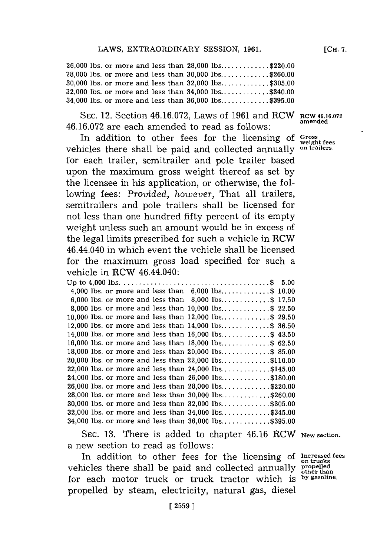**26,000** lbs. or more and less than **28,000** lbs **............ \$220.00 28,000** lbs. or more and less than **30,000** lbs **............ \$260.00 30,000** lbs. or more and less than **32,000** lbs **............ \$305.00 32,000** lbs. or more and less than 34,000 lbs **............ \$340.00** 34,000 lbs. or more and less than **36,000** lbs **............ \$395.00**

**SEC.** 12. Section **46.16.072,** Laws of **1961** and RCW **RCW 46.16.072** 46.16.072 are each amended to read as follows:

In addition to other fees for the licensing **of Gross** vehicles there shall be paid and collected annually **on trailers.** for each trailer, semitrailer and pole trailer based upon the maximum gross weight thereof as set **by** the licensee in his application, or otherwise, the following fees: *Provided, however,* That all trailers, semitrailers and pole trailers shall be licensed for not less than one hundred fifty percent of its empty weight unless such an amount would be in excess of the legal limits prescribed for such a vehicle in RCW 46.44.040 in which event the vehicle shall be licensed for the maximum gross load specified for such a vehicle in RCW 46.44.040:

| 4,000 lbs. or more and less than $6,000$ lbs\$ 10.00   |  |
|--------------------------------------------------------|--|
| 6,000 lbs. or more and less than $8,000$ lbs\$ 17.50   |  |
| 8,000 lbs. or more and less than 10,000 lbs\$ 22.50    |  |
| 10,000 lbs. or more and less than 12,000 lbs\$ 29.50   |  |
| 12,000 lbs. or more and less than 14,000 lbs\$ 36.50   |  |
| 14,000 lbs. or more and less than 16,000 lbs\$ 43.50   |  |
| 16,000 lbs. or more and less than 18,000 lbs\$ 62.50   |  |
| 18,000 lbs. or more and less than 20,000 lbs\$ 85.00   |  |
| 20,000 lbs. or more and less than 22,000 lbs\$110.00   |  |
| 22,000 lbs. or more and less than 24,000 lbs\$145.00   |  |
| 24,000 lbs. or more and less than $26,000$ lbs\$180.00 |  |
| 26,000 lbs. or more and less than 28,000 lbs\$220.00   |  |
| 28,000 lbs. or more and less than 30,000 lbs\$260.00   |  |
| 30,000 lbs. or more and less than 32,000 lbs\$305.00   |  |
| 32,000 lbs. or more and less than 34,000 lbs\$345.00   |  |
| 34,000 lbs. or more and less than 36,000 lbs\$395.00   |  |
|                                                        |  |

**SEC. 13.** There is added to chapter 46.16 RCW **New section.** a new section to read as follows:

In addition to other fees for the licensing of Increased fees vehicles there shall be paid and collected annually propelled for each motor truck or truck tractor which **is by gasoline.** propelled **by** steam, electricity, natural gas, diesel

**weight fees**

**[CH. 7.**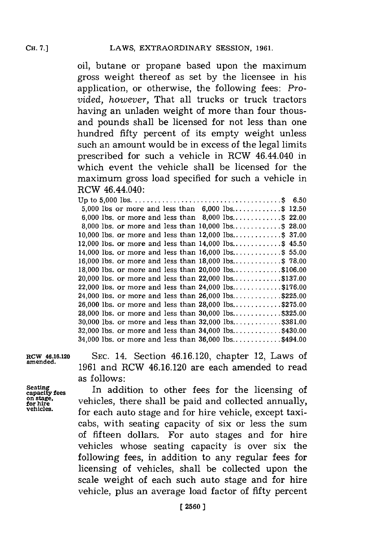oil, butane or propane based upon the maximum gross weight thereof as set **by** the licensee in his application, or otherwise, the following fees: *Provided, however,* That all trucks or truck tractors having an unladen weight of more than four thousand pounds shall be licensed for not less than one hundred fifty percent of its empty weight unless such an amount would be in excess of the legal limits prescribed for such a vehicle in RCW 46.44.040 in which event the vehicle shall be licensed for the maximum gross load specified for such a vehicle in RCW 46.44.040:

| 5,000 lbs or more and less than $6,000$ lbs\$ 12.50      |  |
|----------------------------------------------------------|--|
| 6,000 lbs. or more and less than $8,000$ lbs\$ 22.00     |  |
| 8,000 lbs. or more and less than $10,000$ lbs\$ 28.00    |  |
| 10,000 lbs. or more and less than $12,000$ lbs\$ 37.00   |  |
| 12,000 lbs. or more and less than $14,000$ lbs\$ 45.50   |  |
| 14,000 lbs. or more and less than $16,000$ lbs\$ 55.00   |  |
| 16,000 lbs. or more and less than $18,000$ lbs\$ 78.00   |  |
| 18,000 lbs. or more and less than 20,000 lbs\$106.00     |  |
| 20,000 lbs. or more and less than 22,000 lbs\$137.00     |  |
| 22,000 lbs. or more and less than $24,000$ lbs\$176.00   |  |
| 24,000 lbs. or more and less than $26,000$ lbs\$225.00   |  |
| 26,000 lbs. or more and less than $28,000$ lbs\$275.00   |  |
| 28,000 lbs. or more and less than $30,000$ lbs\$325.00   |  |
|                                                          |  |
| 32,000 lbs. or more and less than $34,000$ lbs\$430.00   |  |
| $34,000$ lbs. or more and less than $36,000$ lbs\$494.00 |  |
|                                                          |  |

**SEC.** 14. Section 46.16.120, chapter 12, Laws of **1961** and RCW 46.16.120 are each amended to read as **f** ollows:

In addition to other fees for the licensing of vehicles, there shall be paid and collected annually, for each auto stage and **for** hire vehicle, except taxicabs, with seating capacity of six or less the sum of fifteen dollars. For auto stages and for hire vehicles whose seating capacity is over six the following fees, in addition to any regular fees for licensing of vehicles, shall be collected upon the scale weight of each such auto stage and for hire vehicle, plus an average load factor of fifty percent

**Seating**

**RCW 46.16.120 amended.**

on stage,<br>for hire **vehicles.**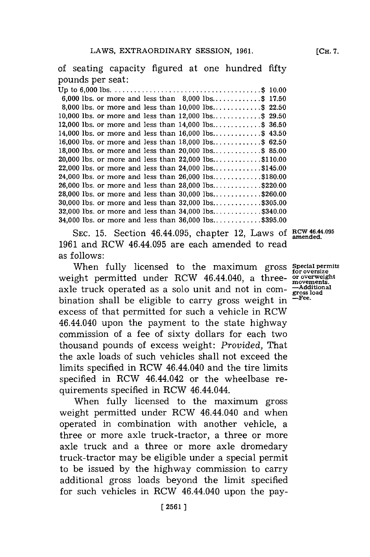of seating capacity figured at one hundred fifty pounds per seat:

| 6,000 lbs. or more and less than $8,000$ lbs\$ 17.50     |  |
|----------------------------------------------------------|--|
| 8,000 lbs. or more and less than $10,000$ lbs\$ 22.50    |  |
| 10,000 lbs. or more and less than $12,000$ lbs\$ 29.50   |  |
| 12,000 lbs. or more and less than $14,000$ lbs\$ 36.50   |  |
| 14,000 lbs. or more and less than $16,000$ lbs\$ 43.50   |  |
| 16,000 lbs. or more and less than $18,000$ lbs\$ 62.50   |  |
| 18,000 lbs. or more and less than 20,000 lbs\$ 85.00     |  |
| 20,000 lbs. or more and less than $22,000$ lbs\$110.00   |  |
| 22,000 lbs. or more and less than $24,000$ lbs\$145.00   |  |
| 24,000 lbs. or more and less than 26,000 lbs\$180.00     |  |
| 26,000 lbs. or more and less than $28,000$ lbs\$220.00   |  |
| 28,000 lbs. or more and less than $30,000$ lbs\$260.00   |  |
| 30,000 lbs. or more and less than $32,000$ lbs\$305.00   |  |
| 32,000 lbs. or more and less than $34,000$ lbs\$340.00   |  |
| $34,000$ lbs. or more and less than $36,000$ lbs\$395.00 |  |

SEC. 15. Section 46.44.095, chapter 12, Laws of RCW 46.44.095 **1961** and RCW 46.44.095 are each amended to read as follows:

When fully licensed to the maximum gross **Special permits** for **oversize** weight permitted under RCW 46.44.040, a three- or overweight axle truck operated as a solo unit and not in com- $\frac{3}{2}$  and  $\frac{3}{2}$  boat binational higher chall he oligible to commu groes weight in  $\frac{3}{2}$  fee. bination shall be eligible to carry gross weight in excess of that permitted for such a vehicle in RCW 46.44.040 upon the payment to the state highway commission of a fee of sixty dollars for each two thousand pounds of excess weight: *Provided,* That the axle loads of such vehicles shall not exceed the limits specified in RCW 46.44.040 and the tire limits specified in RCW 46.44.042 or the wheelbase requirements specified in RCW 46.44.044.

When fully licensed to the maximum gross weight permitted under RCW 46.44.040 and when operated in combination with another vehicle, a three or more axle truck-tractor, a three or more axle truck and a three or more axle dromedary truck-tractor may be eligible under a special permit to be issued **by** the highway commission to carry additional gross loads beyond the limit specified for such vehicles in RCW 46.44.040 upon the pay-

**[CH. 7.**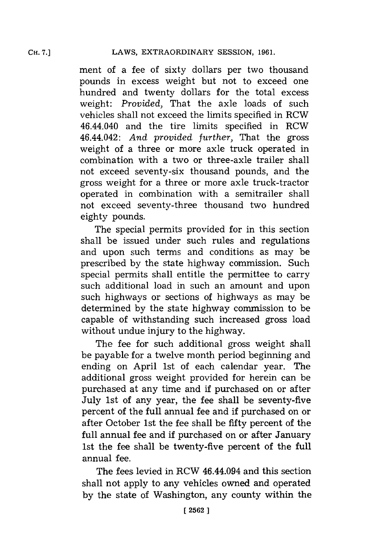ment of a fee of sixty dollars per two thousand pounds in excess weight but not to exceed one hundred and twenty dollars for the total excess weight: *Provided,* That the axle loads of such vehicles shall not exceed the limits specified in RCW 46.44.040 and the tire limits specified in RCW 46.44.042: *And provided further,* That the gross weight of a three or more axle truck operated in combination with a two or three-axle trailer shall not exceed seventy-six thousand pounds, and the gross weight for a three or more axle truck-tractor operated in combination with a semitrailer shall not exceed seventy-three thousand two hundred eighty pounds.

The special permits provided for in this section shall be issued under such rules and regulations and upon such terms and conditions as may be prescribed **by** the state highway commission. Such special permits shall entitle the permittee to carry such additional load in such an amount and upon such highways or sections of highways as may be determined **by** the state highway commission. to be capable of withstanding such increased gross load without undue injury to the highway.

The fee for such additional gross weight shall be payable for a twelve month period beginning and ending on April 1st of each calendar year. **The** additional gross weight provided for herein can be purchased at any time and if purchased on or after July 1st of any year, the fee shall be seventy-five percent of the full annual fee and if purchased on or after October 1st the fee shall be fifty percent of the full annual fee and if purchased on or after January 1st the fee shall be twenty-five percent of the full annual fee.

The fees levied in RCW 46.44.094 and this section shall not apply to any vehicles owned and operated **by** the state of Washington, any county within the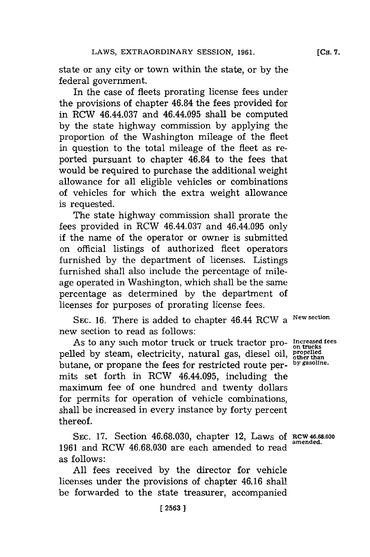state or any city or town within the state, or **by** the federal government.

In the case of fleets prorating license fees under the provisions of chapter 46.84 the fees provided for in RCW 46.44.037 and 46.44.095 shall be computed **by** the state highway commission **by** applying the proportion of the Washington mileage of the fleet in question to the total mileage of the fleet as reported pursuant to chapter 46.84 to the fees that would be required to purchase the additional weight allowance for all eligible vehicles or combinations of vehicles for which the extra weight allowance is requested.

The state highway commission shall prorate the fees provided in RCW 46.44.037 and 46.44.095 only if the name of the operator or owner is submitted on official listings of authorized fleet operators furnished **by** the department of licenses. Listings furnished shall also include the percentage of mileage operated in Washington, which shall be the same percentage as determined **by** the department of licenses for purposes of prorating license fees.

SEC. 16. There is added to chapter 46.44 RCW a <sup>New section</sup> new section to read as follows:

As to any such motor truck or truck tractor propelled **by** steam, electricity, natural gas, diesel oil, butane, or propane the fees for restricted route permits set forth in RCW 46.44.095, including the maximium fee of one hundred and twenty dollars for permits for operation of vehicle combinations, shall be increased in every instance **by** forty percent thereof.

SEC. 17. Section 46.68.030, chapter 12, Laws of RCW 46.68.030 **1961** and RCW **46.68.030** are each amended to read as follows:

**All** fees received **by** the director for vehicle licenses under the provisions of chapter 46.16 shall be forwarded to the state treasurer, accompanied

**Increased fees on trucks propelled other than by gasoline.**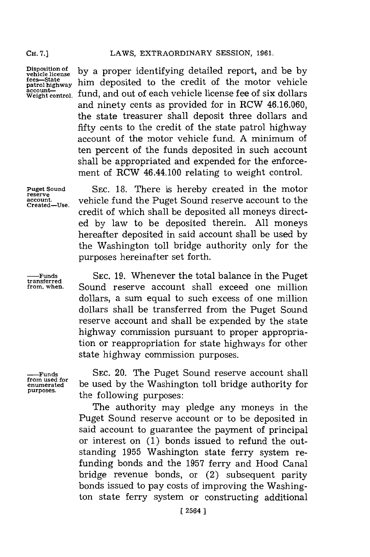**CH. 7.]**

**D**isposition of<br>vehicle license

Disposition of **by** a proper identifying detailed report, and be by vehicle lices—State **patrol** highway him deposited to the credit of the motor vehicle fees—State<br>patrol highway him deposited to the credit of the motor vehicle<br>account account—<br>Weight control, fund, and out of each vehicle license fe**e** of six dollars and ninety cents as provided for in RCW **46.16.060,** the state treasurer shall deposit three dollars and fifty cents to the credit of the state patrol highway account of the motor vehicle fund. **A** minimum of ten percent of the funds deposited in such account shall be appropriated and expended for the enforcement of RCW 46.44.100 relating to weight control.

**Created-Use.**

**Puget Sound SEC. 18.** There is hereby created in the motor **reserve account,** vehicle fund the Puget Sound reserve account to the credit of which shall be deposited all moneys directed **by** law to be deposited therein. **All** moneys hereafter deposited in said account shall be used **by** the Washington toll bridge authority only for the purposes hereinafter set forth.

**-Funds SEC. 19.** Whenever the total balance in the Puget **transferred** Sound reserve account shall exceed one million dollars, a sum equal to such excess of one million dollars shall be transferred from the Puget Sound reserve account and shall be expended **by** the state highway commission pursuant to proper appropriation or reappropriation for state highways for other state highway commission purposes.

**from used for**

SEC. 20. The Puget Sound reserve account shall **enumerated** be used **by** the Washington toll bridge authority for **purposes.** the following purposes:

> The authority may pledge any moneys in the Puget Sound reserve account or to be deposited in said account to guarantee the payment of principal or interest on **(1)** bonds issued to refund the outstanding **1955** Washington state ferry system refunding bonds and the **1957** ferry and Hood Canal bridge revenue bonds, or (2) subsequent parity bonds issued to pay costs of improving the Washington state ferry system or constructing additional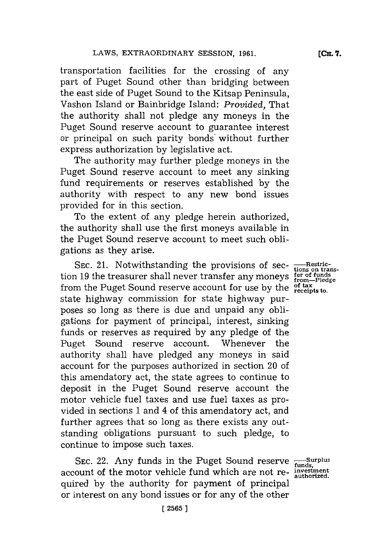transportation facilities for the crossing of any part of Puget Sound other than bridging between the east side of Puget Sound to the Kitsap Peninsula, Vashon Island or Bainbridge Island: *Provided,* That the authority shall not pledge any moneys in the Puget Sound reserve account to guarantee interest or principal on such parity bonds' without further express authorization **by** legislative act.

The authority may further pledge moneys in the Puget Sound reserve account to meet any sinking fund requirements or reserves established **by** the authority with respect to any new bond issues provided for in this section.

To the extent of any pledge herein authorized, the authority shall use the first moneys available in the Puget Sound reserve account to meet such obligations as they arise.

SEC. 21. Notwithstanding the provisions of sec-<br>tion 19 the treasurer shall never transfer any moneys  $\frac{\text{fer of funds}}{\text{from—Pledge}}$ <br>from the Puget Sound reserve account for use by the  $\frac{\text{of tax}}{\text{receits to.}}$ state highway commission for state highway purposes so long as there is due and unpaid any obligations for payment of principal, interest, sinking funds or reserves as required **by** any pledge of the Puget Sound reserve account. Whenever the authority shall have pledged any moneys in said account for the purposes authorized in section 20 of this amendatory act, the state agrees to continue to deposit in the Puget Sound reserve account the motor vehicle fuel taxes and use fuel taxes as provided in sections **1** and 4 of this amendatory act, and further agrees that so long as there exists any outstanding obligations pursuant to such pledge, to continue to impose such taxes.

SEC. 22. Any funds in the Puget Sound reserve  $\frac{S_{\text{unobs}}}{\text{funds}}$ account of the motor vehicle fund which are not re- **investment** quired **by** the authority for payment of principal or interest on any bond issues or for any of the other

**[CH. 7.**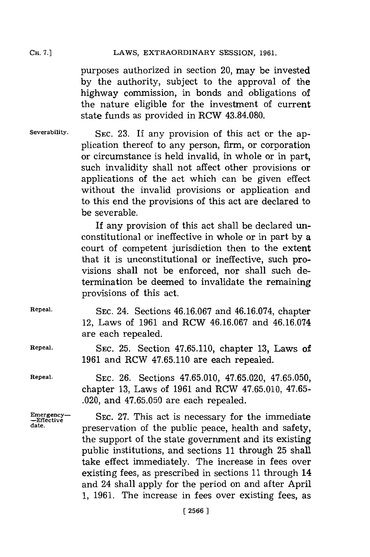#### LAWS, EXTRAORDINARY SESSION, 1961.

purposes authorized in section 20, may be invested **by** the authority, subject to the approval of the highway commission, in bonds and obligations of the nature eligible for the investment of current state funds as provided in RCW 43.84.080.

**Severability. SEC. 23.** If any provision of this act or the application thereof to any person, firm, or corporation or circumstance is held invalid, in whole or in part, such invalidity shall not affect other provisions or applications of the act which can be given effect without the invalid provisions or application and to this end the provisions of this act are declared to be severable.

> If any provision of this act shall be declared unconstitutional or ineffective in whole or in part **by** a court of competent jurisdiction then to the extent that it is unconstitutional or ineffective, such provisions shall not be enforced, nor shall such determination be deemed to invalidate the remaining provisions of this act.

**Repeal. SEC.** 24. Sections **46.16.067** and 46.16.074, chapter 12, Laws of **1961** and RCW **46.16.067** and 46.16.074 are each repealed.

**Repeal. SEC. 25.** Section **47.65.110,** chapter **13,** Laws of **1961** and RCW **47.65.110** are each repealed.

**Repeal. SEC. 26.** Sections **47.65.010, 47.65.020, 47.65.050,** chapter **13,** Laws of **1961** and RCW **47.65.010, 47.65-** .020, and **47.65.050** are each repealed.

Emergency-<br> **Example SEC.** 27. This act is necessary for the immediate<br>
date. **Proposition** of the nublic nonce houlth and opfotty preservation of the public peace, health and safety, the support of the state government and its existing public institutions, and sections **11** through **25** shall take effect immediately. The increase in fees over existing fees, as prescribed in sections **11** through 14 and 24 shall apply for the period on and after April **1, 1961.** The increase in fees over existing fees, as